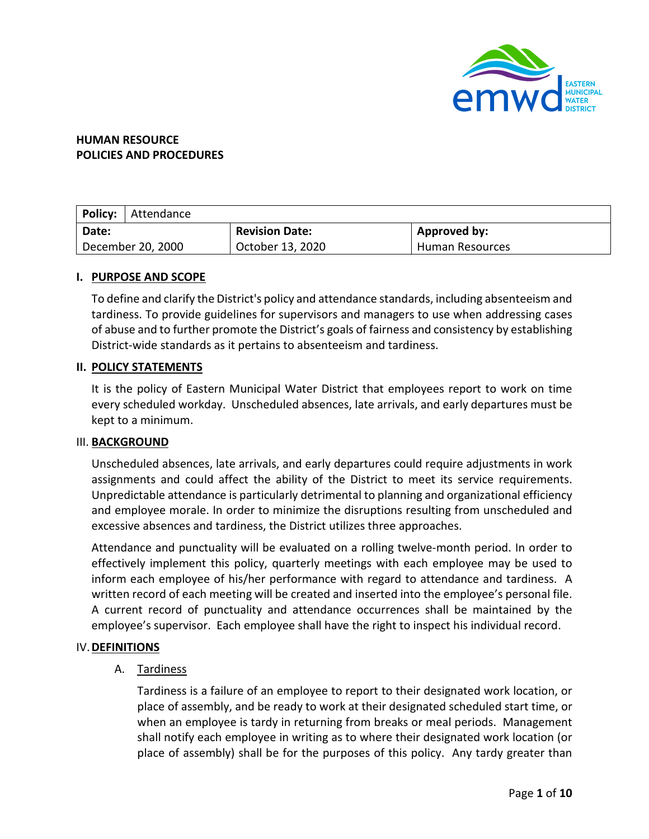

## **HUMAN RESOURCE POLICIES AND PROCEDURES**

| <b>Policy:</b>    | Attendance |                       |                     |  |  |  |  |  |  |  |
|-------------------|------------|-----------------------|---------------------|--|--|--|--|--|--|--|
| Date:             |            | <b>Revision Date:</b> | <b>Approved by:</b> |  |  |  |  |  |  |  |
| December 20, 2000 |            | October 13, 2020      | Human Resources     |  |  |  |  |  |  |  |

## **I. PURPOSE AND SCOPE**

To define and clarify the District's policy and attendance standards, including absenteeism and tardiness. To provide guidelines for supervisors and managers to use when addressing cases of abuse and to further promote the District's goals of fairness and consistency by establishing District-wide standards as it pertains to absenteeism and tardiness.

## **II. POLICY STATEMENTS**

It is the policy of Eastern Municipal Water District that employees report to work on time every scheduled workday. Unscheduled absences, late arrivals, and early departures must be kept to a minimum.

#### III. **BACKGROUND**

Unscheduled absences, late arrivals, and early departures could require adjustments in work assignments and could affect the ability of the District to meet its service requirements. Unpredictable attendance is particularly detrimental to planning and organizational efficiency and employee morale. In order to minimize the disruptions resulting from unscheduled and excessive absences and tardiness, the District utilizes three approaches.

Attendance and punctuality will be evaluated on a rolling twelve-month period. In order to effectively implement this policy, quarterly meetings with each employee may be used to inform each employee of his/her performance with regard to attendance and tardiness. A written record of each meeting will be created and inserted into the employee's personal file. A current record of punctuality and attendance occurrences shall be maintained by the employee's supervisor. Each employee shall have the right to inspect his individual record.

#### IV.**DEFINITIONS**

## A. Tardiness

Tardiness is a failure of an employee to report to their designated work location, or place of assembly, and be ready to work at their designated scheduled start time, or when an employee is tardy in returning from breaks or meal periods. Management shall notify each employee in writing as to where their designated work location (or place of assembly) shall be for the purposes of this policy. Any tardy greater than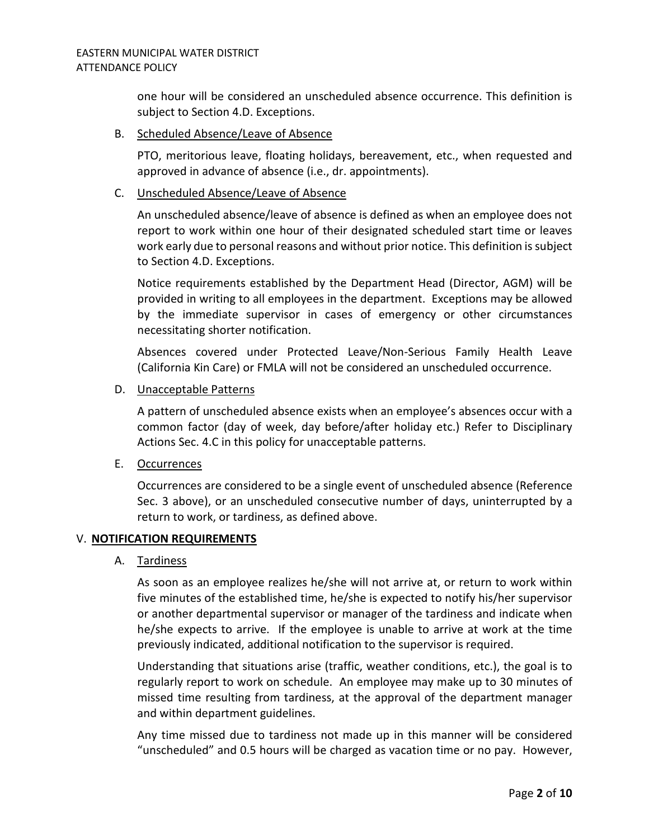one hour will be considered an unscheduled absence occurrence. This definition is subject to Section 4.D. Exceptions.

## B. Scheduled Absence/Leave of Absence

PTO, meritorious leave, floating holidays, bereavement, etc., when requested and approved in advance of absence (i.e., dr. appointments).

## C. Unscheduled Absence/Leave of Absence

An unscheduled absence/leave of absence is defined as when an employee does not report to work within one hour of their designated scheduled start time or leaves work early due to personal reasons and without prior notice. This definition is subject to Section 4.D. Exceptions.

Notice requirements established by the Department Head (Director, AGM) will be provided in writing to all employees in the department. Exceptions may be allowed by the immediate supervisor in cases of emergency or other circumstances necessitating shorter notification.

Absences covered under Protected Leave/Non-Serious Family Health Leave (California Kin Care) or FMLA will not be considered an unscheduled occurrence.

## D. Unacceptable Patterns

A pattern of unscheduled absence exists when an employee's absences occur with a common factor (day of week, day before/after holiday etc.) Refer to Disciplinary Actions Sec. 4.C in this policy for unacceptable patterns.

E. Occurrences

Occurrences are considered to be a single event of unscheduled absence (Reference Sec. 3 above), or an unscheduled consecutive number of days, uninterrupted by a return to work, or tardiness, as defined above.

#### V. **NOTIFICATION REQUIREMENTS**

## A. Tardiness

As soon as an employee realizes he/she will not arrive at, or return to work within five minutes of the established time, he/she is expected to notify his/her supervisor or another departmental supervisor or manager of the tardiness and indicate when he/she expects to arrive. If the employee is unable to arrive at work at the time previously indicated, additional notification to the supervisor is required.

Understanding that situations arise (traffic, weather conditions, etc.), the goal is to regularly report to work on schedule. An employee may make up to 30 minutes of missed time resulting from tardiness, at the approval of the department manager and within department guidelines.

Any time missed due to tardiness not made up in this manner will be considered "unscheduled" and 0.5 hours will be charged as vacation time or no pay. However,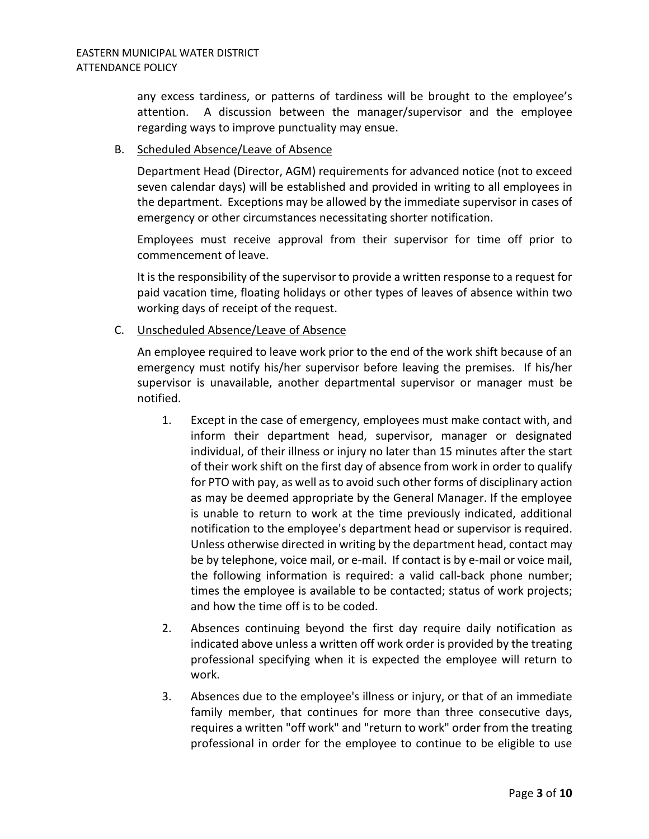any excess tardiness, or patterns of tardiness will be brought to the employee's attention. A discussion between the manager/supervisor and the employee regarding ways to improve punctuality may ensue.

#### B. Scheduled Absence/Leave of Absence

Department Head (Director, AGM) requirements for advanced notice (not to exceed seven calendar days) will be established and provided in writing to all employees in the department. Exceptions may be allowed by the immediate supervisor in cases of emergency or other circumstances necessitating shorter notification.

Employees must receive approval from their supervisor for time off prior to commencement of leave.

It is the responsibility of the supervisor to provide a written response to a request for paid vacation time, floating holidays or other types of leaves of absence within two working days of receipt of the request.

## C. Unscheduled Absence/Leave of Absence

An employee required to leave work prior to the end of the work shift because of an emergency must notify his/her supervisor before leaving the premises. If his/her supervisor is unavailable, another departmental supervisor or manager must be notified.

- 1. Except in the case of emergency, employees must make contact with, and inform their department head, supervisor, manager or designated individual, of their illness or injury no later than 15 minutes after the start of their work shift on the first day of absence from work in order to qualify for PTO with pay, as well as to avoid such other forms of disciplinary action as may be deemed appropriate by the General Manager. If the employee is unable to return to work at the time previously indicated, additional notification to the employee's department head or supervisor is required. Unless otherwise directed in writing by the department head, contact may be by telephone, voice mail, or e-mail. If contact is by e-mail or voice mail, the following information is required: a valid call-back phone number; times the employee is available to be contacted; status of work projects; and how the time off is to be coded.
- 2. Absences continuing beyond the first day require daily notification as indicated above unless a written off work order is provided by the treating professional specifying when it is expected the employee will return to work.
- 3. Absences due to the employee's illness or injury, or that of an immediate family member, that continues for more than three consecutive days, requires a written "off work" and "return to work" order from the treating professional in order for the employee to continue to be eligible to use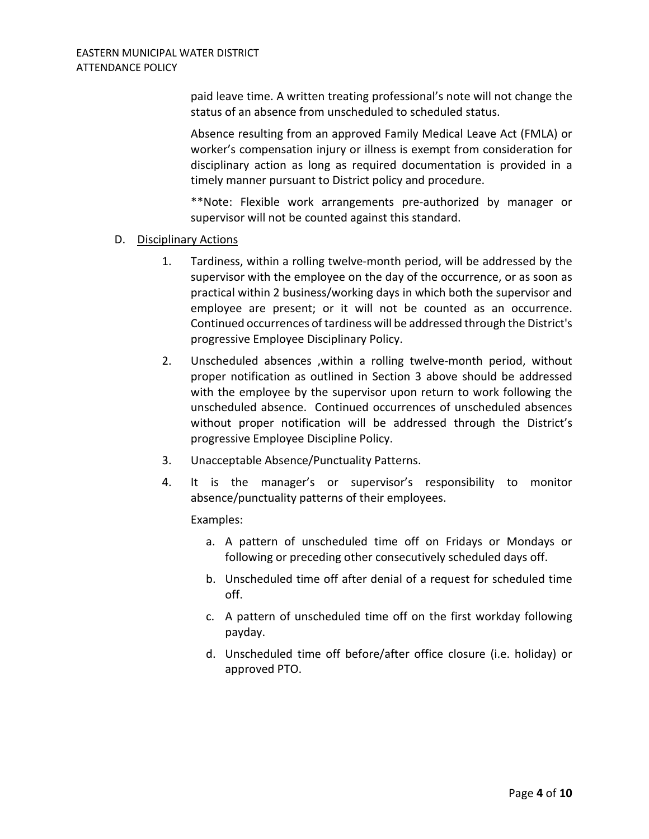paid leave time. A written treating professional's note will not change the status of an absence from unscheduled to scheduled status.

Absence resulting from an approved Family Medical Leave Act (FMLA) or worker's compensation injury or illness is exempt from consideration for disciplinary action as long as required documentation is provided in a timely manner pursuant to District policy and procedure.

\*\*Note: Flexible work arrangements pre-authorized by manager or supervisor will not be counted against this standard.

## D. Disciplinary Actions

- 1. Tardiness, within a rolling twelve-month period, will be addressed by the supervisor with the employee on the day of the occurrence, or as soon as practical within 2 business/working days in which both the supervisor and employee are present; or it will not be counted as an occurrence. Continued occurrences of tardiness will be addressed through the District's progressive Employee Disciplinary Policy.
- 2. Unscheduled absences ,within a rolling twelve-month period, without proper notification as outlined in Section 3 above should be addressed with the employee by the supervisor upon return to work following the unscheduled absence. Continued occurrences of unscheduled absences without proper notification will be addressed through the District's progressive Employee Discipline Policy.
- 3. Unacceptable Absence/Punctuality Patterns.
- 4. It is the manager's or supervisor's responsibility to monitor absence/punctuality patterns of their employees.

Examples:

- a. A pattern of unscheduled time off on Fridays or Mondays or following or preceding other consecutively scheduled days off.
- b. Unscheduled time off after denial of a request for scheduled time off.
- c. A pattern of unscheduled time off on the first workday following payday.
- d. Unscheduled time off before/after office closure (i.e. holiday) or approved PTO.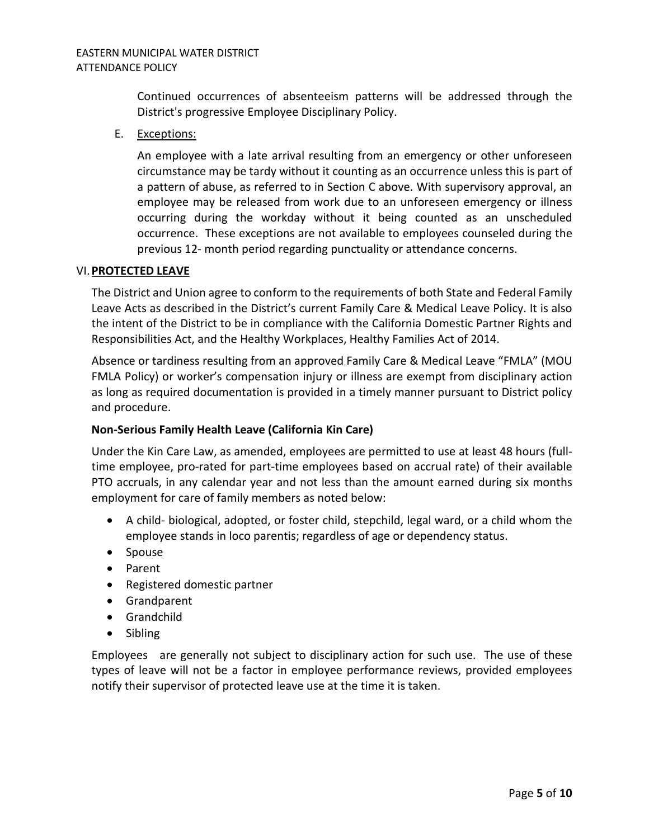Continued occurrences of absenteeism patterns will be addressed through the District's progressive Employee Disciplinary Policy.

E. Exceptions:

An employee with a late arrival resulting from an emergency or other unforeseen circumstance may be tardy without it counting as an occurrence unless this is part of a pattern of abuse, as referred to in Section C above. With supervisory approval, an employee may be released from work due to an unforeseen emergency or illness occurring during the workday without it being counted as an unscheduled occurrence. These exceptions are not available to employees counseled during the previous 12- month period regarding punctuality or attendance concerns.

## VI.**PROTECTED LEAVE**

The District and Union agree to conform to the requirements of both State and Federal Family Leave Acts as described in the District's current Family Care & Medical Leave Policy. It is also the intent of the District to be in compliance with the California Domestic Partner Rights and Responsibilities Act, and the Healthy Workplaces, Healthy Families Act of 2014.

Absence or tardiness resulting from an approved Family Care & Medical Leave "FMLA" (MOU FMLA Policy) or worker's compensation injury or illness are exempt from disciplinary action as long as required documentation is provided in a timely manner pursuant to District policy and procedure.

## **Non-Serious Family Health Leave (California Kin Care)**

Under the Kin Care Law, as amended, employees are permitted to use at least 48 hours (fulltime employee, pro-rated for part-time employees based on accrual rate) of their available PTO accruals, in any calendar year and not less than the amount earned during six months employment for care of family members as noted below:

- A child- biological, adopted, or foster child, stepchild, legal ward, or a child whom the employee stands in loco parentis; regardless of age or dependency status.
- Spouse
- Parent
- Registered domestic partner
- Grandparent
- Grandchild
- Sibling

Employees are generally not subject to disciplinary action for such use. The use of these types of leave will not be a factor in employee performance reviews, provided employees notify their supervisor of protected leave use at the time it is taken.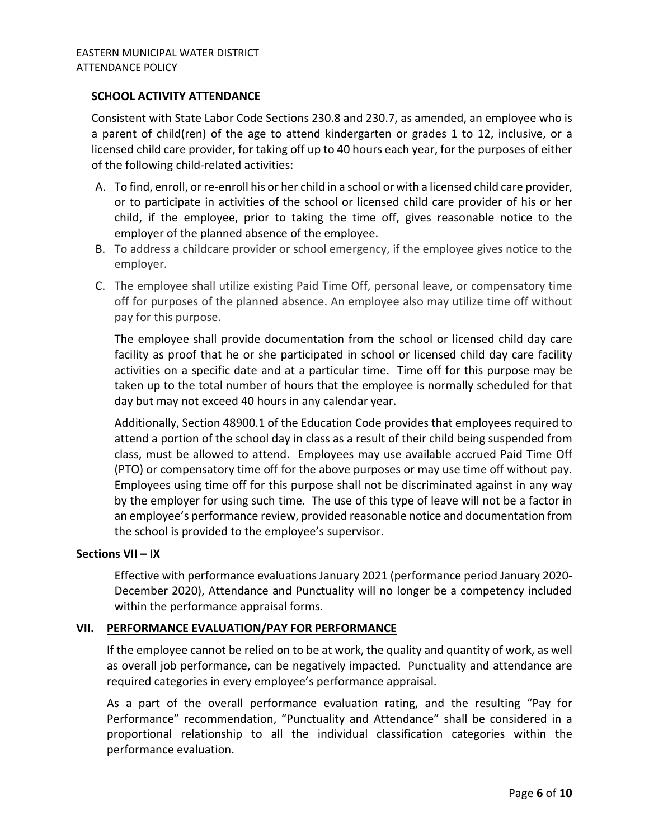## **SCHOOL ACTIVITY ATTENDANCE**

Consistent with State Labor Code Sections 230.8 and 230.7, as amended, an employee who is a parent of child(ren) of the age to attend kindergarten or grades 1 to 12, inclusive, or a licensed child care provider, for taking off up to 40 hours each year, for the purposes of either of the following child-related activities:

- A. To find, enroll, or re-enroll his or her child in a school or with a licensed child care provider, or to participate in activities of the school or licensed child care provider of his or her child, if the employee, prior to taking the time off, gives reasonable notice to the employer of the planned absence of the employee.
- B. To address a childcare provider or school emergency, if the employee gives notice to the employer.
- C. The employee shall utilize existing Paid Time Off, personal leave, or compensatory time off for purposes of the planned absence. An employee also may utilize time off without pay for this purpose.

The employee shall provide documentation from the school or licensed child day care facility as proof that he or she participated in school or licensed child day care facility activities on a specific date and at a particular time. Time off for this purpose may be taken up to the total number of hours that the employee is normally scheduled for that day but may not exceed 40 hours in any calendar year.

Additionally, Section 48900.1 of the Education Code provides that employees required to attend a portion of the school day in class as a result of their child being suspended from class, must be allowed to attend. Employees may use available accrued Paid Time Off (PTO) or compensatory time off for the above purposes or may use time off without pay. Employees using time off for this purpose shall not be discriminated against in any way by the employer for using such time. The use of this type of leave will not be a factor in an employee's performance review, provided reasonable notice and documentation from the school is provided to the employee's supervisor.

#### **Sections VII – IX**

Effective with performance evaluations January 2021 (performance period January 2020- December 2020), Attendance and Punctuality will no longer be a competency included within the performance appraisal forms.

#### **VII. PERFORMANCE EVALUATION/PAY FOR PERFORMANCE**

If the employee cannot be relied on to be at work, the quality and quantity of work, as well as overall job performance, can be negatively impacted. Punctuality and attendance are required categories in every employee's performance appraisal.

As a part of the overall performance evaluation rating, and the resulting "Pay for Performance" recommendation, "Punctuality and Attendance" shall be considered in a proportional relationship to all the individual classification categories within the performance evaluation.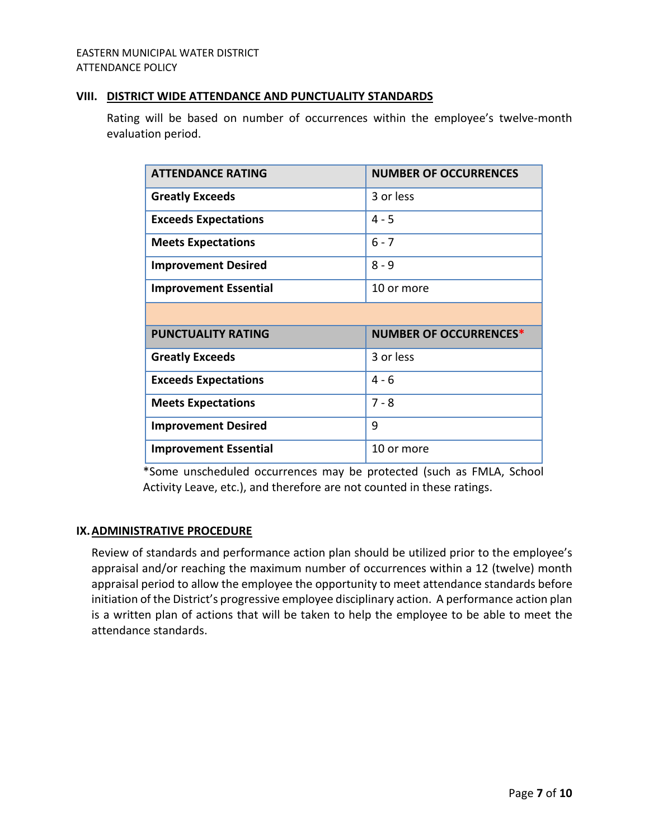#### EASTERN MUNICIPAL WATER DISTRICT ATTENDANCE POLICY

## **VIII. DISTRICT WIDE ATTENDANCE AND PUNCTUALITY STANDARDS**

Rating will be based on number of occurrences within the employee's twelve-month evaluation period.

| <b>ATTENDANCE RATING</b>     | <b>NUMBER OF OCCURRENCES</b>  |
|------------------------------|-------------------------------|
| <b>Greatly Exceeds</b>       | 3 or less                     |
| <b>Exceeds Expectations</b>  | $4 - 5$                       |
| <b>Meets Expectations</b>    | $6 - 7$                       |
| <b>Improvement Desired</b>   | $8 - 9$                       |
| <b>Improvement Essential</b> | 10 or more                    |
|                              |                               |
|                              |                               |
| <b>PUNCTUALITY RATING</b>    | <b>NUMBER OF OCCURRENCES*</b> |
| <b>Greatly Exceeds</b>       | 3 or less                     |
| <b>Exceeds Expectations</b>  | $4 - 6$                       |
| <b>Meets Expectations</b>    | $7 - 8$                       |
| <b>Improvement Desired</b>   | 9                             |

\*Some unscheduled occurrences may be protected (such as FMLA, School Activity Leave, etc.), and therefore are not counted in these ratings.

## **IX.ADMINISTRATIVE PROCEDURE**

Review of standards and performance action plan should be utilized prior to the employee's appraisal and/or reaching the maximum number of occurrences within a 12 (twelve) month appraisal period to allow the employee the opportunity to meet attendance standards before initiation of the District's progressive employee disciplinary action. A performance action plan is a written plan of actions that will be taken to help the employee to be able to meet the attendance standards.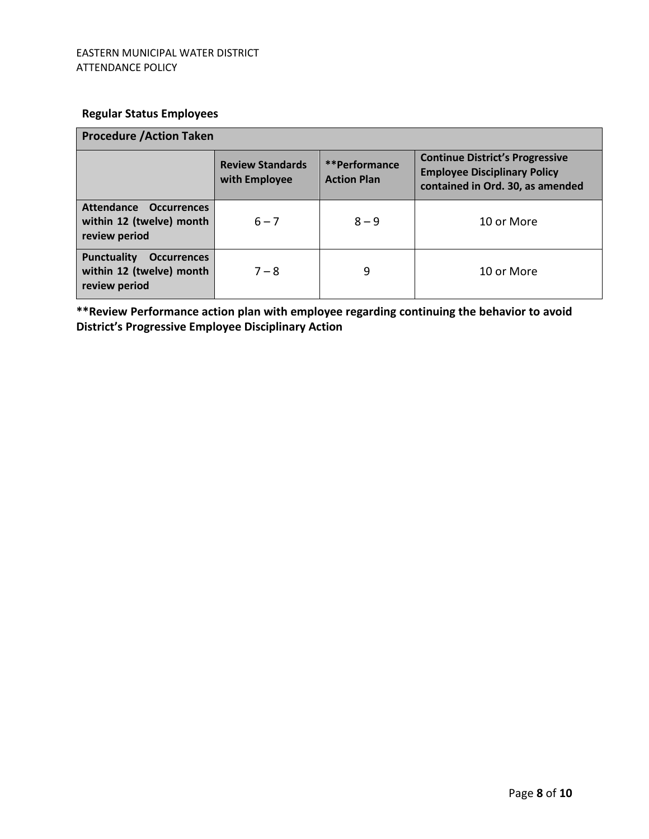# **Regular Status Employees**

| <b>Procedure / Action Taken</b>                                                       |                                          |                                     |                                                                                                                   |  |  |  |  |  |  |
|---------------------------------------------------------------------------------------|------------------------------------------|-------------------------------------|-------------------------------------------------------------------------------------------------------------------|--|--|--|--|--|--|
|                                                                                       | <b>Review Standards</b><br>with Employee | **Performance<br><b>Action Plan</b> | <b>Continue District's Progressive</b><br><b>Employee Disciplinary Policy</b><br>contained in Ord. 30, as amended |  |  |  |  |  |  |
| Attendance<br><b>Occurrences</b><br>within 12 (twelve) month<br>review period         | $6 - 7$                                  | $8 - 9$                             | 10 or More                                                                                                        |  |  |  |  |  |  |
| <b>Punctuality</b><br><b>Occurrences</b><br>within 12 (twelve) month<br>review period | $7 - 8$                                  | 9                                   | 10 or More                                                                                                        |  |  |  |  |  |  |

**\*\*Review Performance action plan with employee regarding continuing the behavior to avoid District's Progressive Employee Disciplinary Action**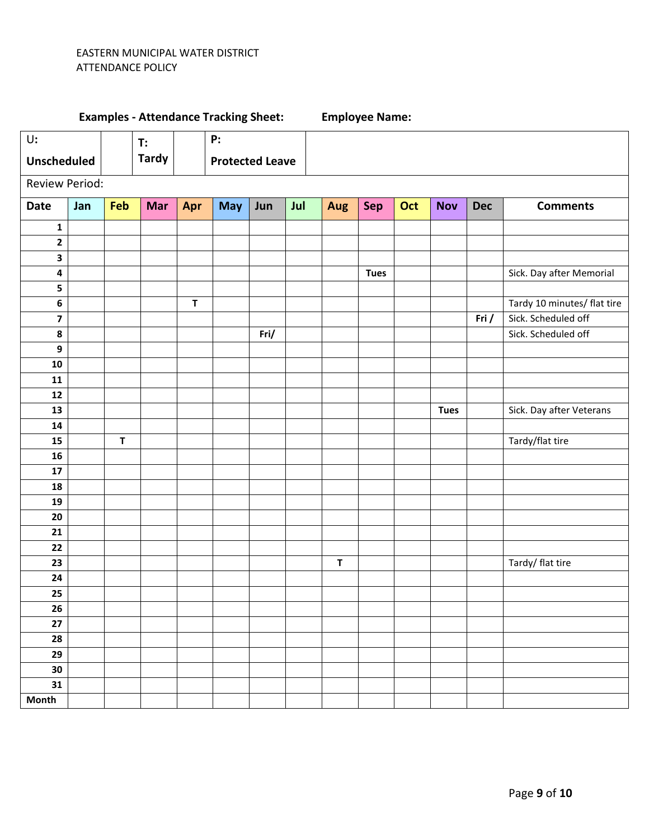### EASTERN MUNICIPAL WATER DISTRICT ATTENDANCE POLICY

# U**: Unscheduled T: Tardy P: Protected Leave** Review Period: **Date Jan Feb Mar Apr May Jun Jul Aug Sep Oct Nov Dec Comments 1 Tues 1 1 1 Sick. Day after Memorial T** T T T T T T T T T T T T T T Tardy 10 minutes/ flat tire **7 Fri Friday Friday Islams and The Friday Islams in the Friday Islams of**  $\mathbf{F}$  **Fright Fright Fright Fright Example 1 Sick. Scheduled off Tues** Sick. Day after Veterans **T** Tardy/flat tire **23**  $\begin{vmatrix} 1 & 1 & 1 \\ 1 & 1 & 1 \end{vmatrix}$  **T**  $\begin{vmatrix} 1 & 1 & 1 \\ 1 & 1 & 1 \end{vmatrix}$  Tardy/ flat tire **Month**

# **Examples - Attendance Tracking Sheet: Employee Name:**